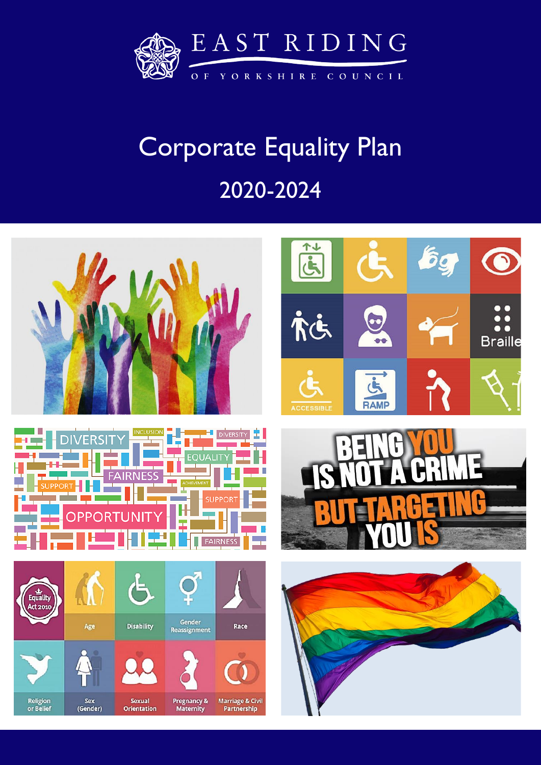

# Corporate Equality Plan 2020-2024

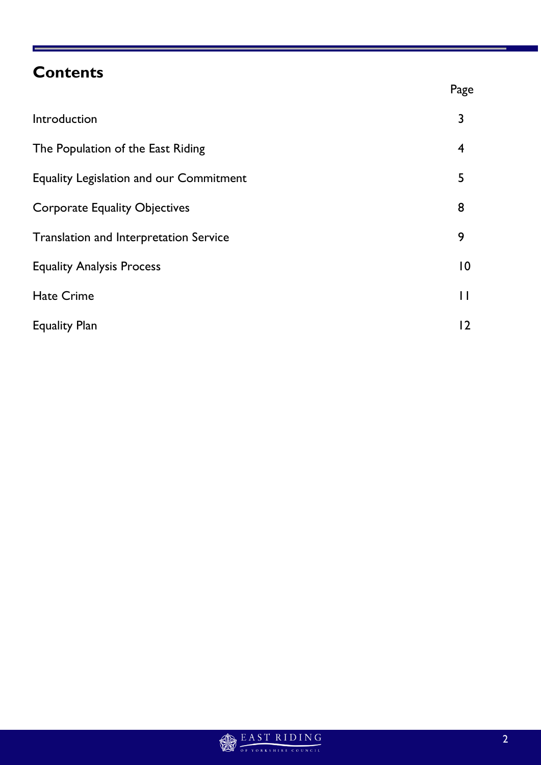# **Contents**

|                                                | Page           |
|------------------------------------------------|----------------|
| Introduction                                   | 3              |
| The Population of the East Riding              | $\overline{4}$ |
| <b>Equality Legislation and our Commitment</b> | 5              |
| <b>Corporate Equality Objectives</b>           | 8              |
| <b>Translation and Interpretation Service</b>  | 9              |
| <b>Equality Analysis Process</b>               | $\overline{0}$ |
| <b>Hate Crime</b>                              | П              |
| <b>Equality Plan</b>                           | 12             |

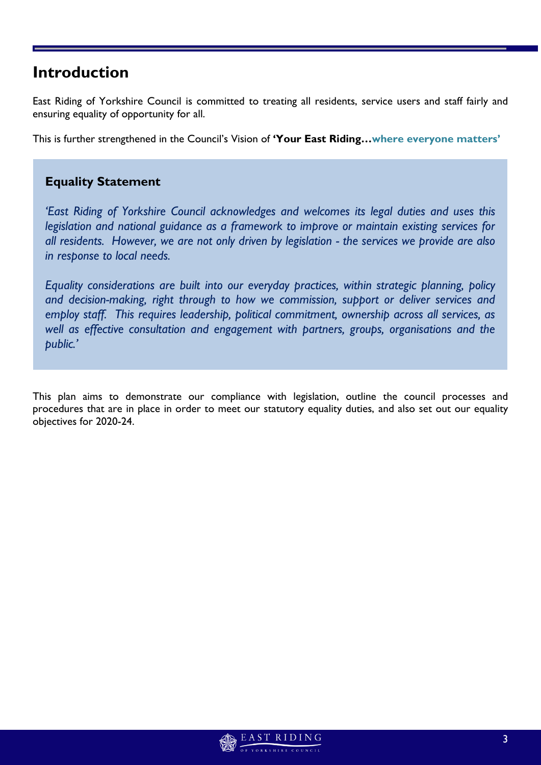# **Introduction**

East Riding of Yorkshire Council is committed to treating all residents, service users and staff fairly and ensuring equality of opportunity for all.

This is further strengthened in the Council's Vision of **'Your East Riding…where everyone matters'**

# **Equality Statement**

*'East Riding of Yorkshire Council acknowledges and welcomes its legal duties and uses this legislation and national guidance as a framework to improve or maintain existing services for all residents. However, we are not only driven by legislation - the services we provide are also in response to local needs.*

*Equality considerations are built into our everyday practices, within strategic planning, policy and decision-making, right through to how we commission, support or deliver services and employ staff. This requires leadership, political commitment, ownership across all services, as well as effective consultation and engagement with partners, groups, organisations and the public.'*

This plan aims to demonstrate our compliance with legislation, outline the council processes and procedures that are in place in order to meet our statutory equality duties, and also set out our equality objectives for 2020-24.

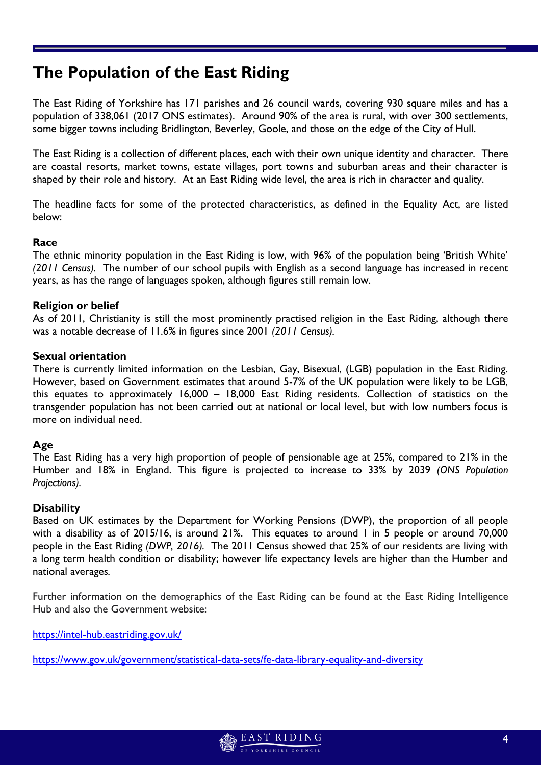# **The Population of the East Riding**

The East Riding of Yorkshire has 171 parishes and 26 council wards, covering 930 square miles and has a population of 338,061 (2017 ONS estimates). Around 90% of the area is rural, with over 300 settlements, some bigger towns including Bridlington, Beverley, Goole, and those on the edge of the City of Hull.

The East Riding is a collection of different places, each with their own unique identity and character. There are coastal resorts, market towns, estate villages, port towns and suburban areas and their character is shaped by their role and history. At an East Riding wide level, the area is rich in character and quality.

The headline facts for some of the protected characteristics, as defined in the Equality Act, are listed below:

### **Race**

The ethnic minority population in the East Riding is low, with 96% of the population being 'British White' *(2011 Census).* The number of our school pupils with English as a second language has increased in recent years, as has the range of languages spoken, although figures still remain low.

### **Religion or belief**

As of 2011, Christianity is still the most prominently practised religion in the East Riding, although there was a notable decrease of 11.6% in figures since 2001 *(2011 Census).*

### **Sexual orientation**

There is currently limited information on the Lesbian, Gay, Bisexual, (LGB) population in the East Riding. However, based on Government estimates that around 5-7% of the UK population were likely to be LGB, this equates to approximately 16,000 – 18,000 East Riding residents. Collection of statistics on the transgender population has not been carried out at national or local level, but with low numbers focus is more on individual need.

### **Age**

The East Riding has a very high proportion of people of pensionable age at 25%, compared to 21% in the Humber and 18% in England. This figure is projected to increase to 33% by 2039 *(ONS Population Projections).*

### **Disability**

Based on UK estimates by the Department for Working Pensions (DWP), the proportion of all people with a disability as of 2015/16, is around 21%. This equates to around 1 in 5 people or around 70,000 people in the East Riding *(DWP, 2016).* The 2011 Census showed that 25% of our residents are living with a long term health condition or disability; however life expectancy levels are higher than the Humber and national averages*.*

Further information on the demographics of the East Riding can be found at the East Riding Intelligence Hub and also the Government website:

<https://intel-hub.eastriding.gov.uk/>

<https://www.gov.uk/government/statistical-data-sets/fe-data-library-equality-and-diversity>

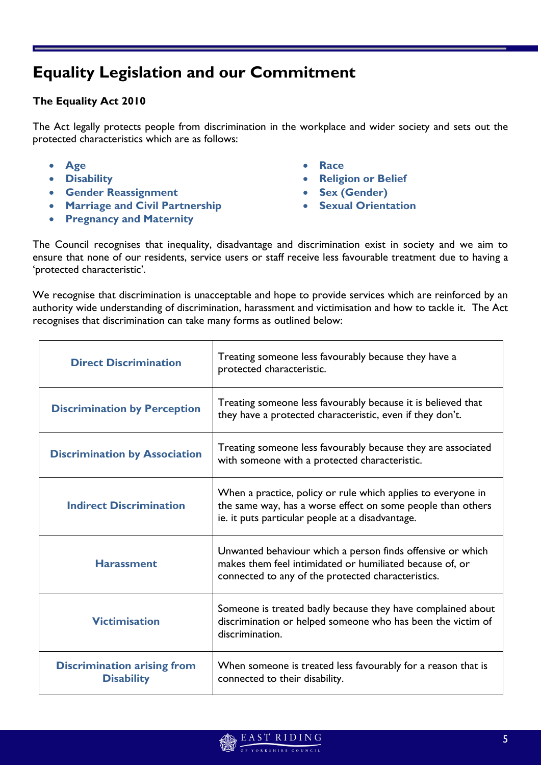# **Equality Legislation and our Commitment**

### **The Equality Act 2010**

The Act legally protects people from discrimination in the workplace and wider society and sets out the protected characteristics which are as follows:

- **Age**
- **Disability**
- **Gender Reassignment**
- **Marriage and Civil Partnership**
- **Pregnancy and Maternity**
- **Race**
- **Religion or Belief**
- **Sex (Gender)**
- **Sexual Orientation**

The Council recognises that inequality, disadvantage and discrimination exist in society and we aim to ensure that none of our residents, service users or staff receive less favourable treatment due to having a 'protected characteristic'.

We recognise that discrimination is unacceptable and hope to provide services which are reinforced by an authority wide understanding of discrimination, harassment and victimisation and how to tackle it. The Act recognises that discrimination can take many forms as outlined below:

| <b>Direct Discrimination</b>                            | Treating someone less favourably because they have a<br>protected characteristic.                                                                                               |  |
|---------------------------------------------------------|---------------------------------------------------------------------------------------------------------------------------------------------------------------------------------|--|
| <b>Discrimination by Perception</b>                     | Treating someone less favourably because it is believed that<br>they have a protected characteristic, even if they don't.                                                       |  |
| <b>Discrimination by Association</b>                    | Treating someone less favourably because they are associated<br>with someone with a protected characteristic.                                                                   |  |
| <b>Indirect Discrimination</b>                          | When a practice, policy or rule which applies to everyone in<br>the same way, has a worse effect on some people than others<br>ie. it puts particular people at a disadvantage. |  |
| <b>Harassment</b>                                       | Unwanted behaviour which a person finds offensive or which<br>makes them feel intimidated or humiliated because of, or<br>connected to any of the protected characteristics.    |  |
| <b>Victimisation</b>                                    | Someone is treated badly because they have complained about<br>discrimination or helped someone who has been the victim of<br>discrimination.                                   |  |
| <b>Discrimination arising from</b><br><b>Disability</b> | When someone is treated less favourably for a reason that is<br>connected to their disability.                                                                                  |  |

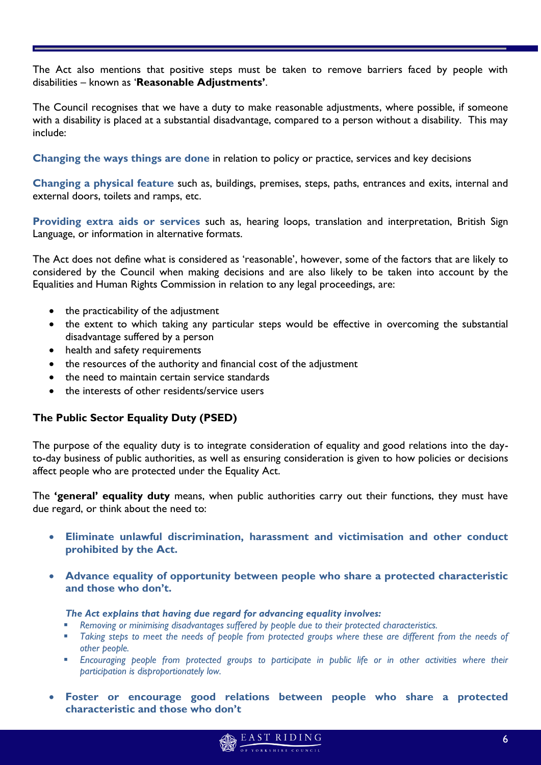The Act also mentions that positive steps must be taken to remove barriers faced by people with disabilities – known as '**Reasonable Adjustments'**.

The Council recognises that we have a duty to make reasonable adjustments, where possible, if someone with a disability is placed at a substantial disadvantage, compared to a person without a disability. This may include:

**Changing the ways things are done** in relation to policy or practice, services and key decisions

**Changing a physical feature** such as, buildings, premises, steps, paths, entrances and exits, internal and external doors, toilets and ramps, etc.

**Providing extra aids or services** such as, hearing loops, translation and interpretation, British Sign Language, or information in alternative formats.

The Act does not define what is considered as 'reasonable', however, some of the factors that are likely to considered by the Council when making decisions and are also likely to be taken into account by the Equalities and Human Rights Commission in relation to any legal proceedings, are:

- the practicability of the adjustment
- the extent to which taking any particular steps would be effective in overcoming the substantial disadvantage suffered by a person
- health and safety requirements
- the resources of the authority and financial cost of the adjustment
- the need to maintain certain service standards
- the interests of other residents/service users

### **The Public Sector Equality Duty (PSED)**

The purpose of the equality duty is to integrate consideration of equality and good relations into the dayto-day business of public authorities, as well as ensuring consideration is given to how policies or decisions affect people who are protected under the Equality Act.

The **'general' equality duty** means, when public authorities carry out their functions, they must have due regard, or think about the need to:

- **Eliminate unlawful discrimination, harassment and victimisation and other conduct prohibited by the Act.**
- **Advance equality of opportunity between people who share a protected characteristic and those who don't.**

#### *The Act explains that having due regard for advancing equality involves:*

- *Removing or minimising disadvantages suffered by people due to their protected characteristics.*
- *Taking steps to meet the needs of people from protected groups where these are different from the needs of other people.*
- **Encouraging people from protected groups to participate in public life or in other activities where their** *participation is disproportionately low.*
- **Foster or encourage good relations between people who share a protected characteristic and those who don't**

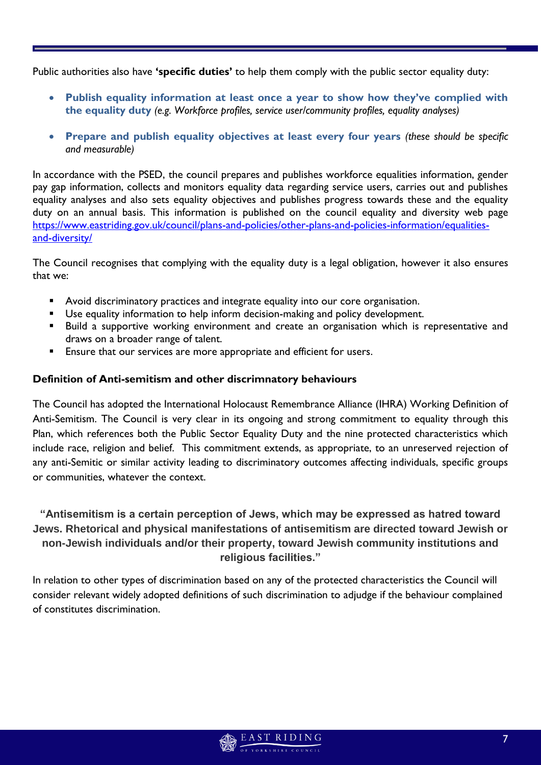Public authorities also have **'specific duties'** to help them comply with the public sector equality duty:

- **Publish equality information at least once a year to show how they've complied with the equality duty** *(e.g. Workforce profiles, service user/community profiles, equality analyses)*
- **Prepare and publish equality objectives at least every four years** *(these should be specific and measurable)*

In accordance with the PSED, the council prepares and publishes workforce equalities information, gender pay gap information, collects and monitors equality data regarding service users, carries out and publishes equality analyses and also sets equality objectives and publishes progress towards these and the equality duty on an annual basis. This information is published on the council equality and diversity web page [https://www.eastriding.gov.uk/council/plans-and-policies/other-plans-and-policies-information/equalities](https://www.eastriding.gov.uk/council/plans-and-policies/other-plans-and-policies-information/equalities-and-diversity/)[and-diversity/](https://www.eastriding.gov.uk/council/plans-and-policies/other-plans-and-policies-information/equalities-and-diversity/)

The Council recognises that complying with the equality duty is a legal obligation, however it also ensures that we:

- Avoid discriminatory practices and integrate equality into our core organisation.
- Use equality information to help inform decision-making and policy development.
- **Build a supportive working environment and create an organisation which is representative and** draws on a broader range of talent.
- Ensure that our services are more appropriate and efficient for users.

### **Definition of Anti-semitism and other discrimnatory behaviours**

The Council has adopted the International Holocaust Remembrance Alliance (IHRA) Working Definition of Anti-Semitism. The Council is very clear in its ongoing and strong commitment to equality through this Plan, which references both the Public Sector Equality Duty and the nine protected characteristics which include race, religion and belief. This commitment extends, as appropriate, to an unreserved rejection of any anti-Semitic or similar activity leading to discriminatory outcomes affecting individuals, specific groups or communities, whatever the context.

# **"Antisemitism is a certain perception of Jews, which may be expressed as hatred toward Jews. Rhetorical and physical manifestations of antisemitism are directed toward Jewish or non-Jewish individuals and/or their property, toward Jewish community institutions and religious facilities."**

In relation to other types of discrimination based on any of the protected characteristics the Council will consider relevant widely adopted definitions of such discrimination to adjudge if the behaviour complained of constitutes discrimination.

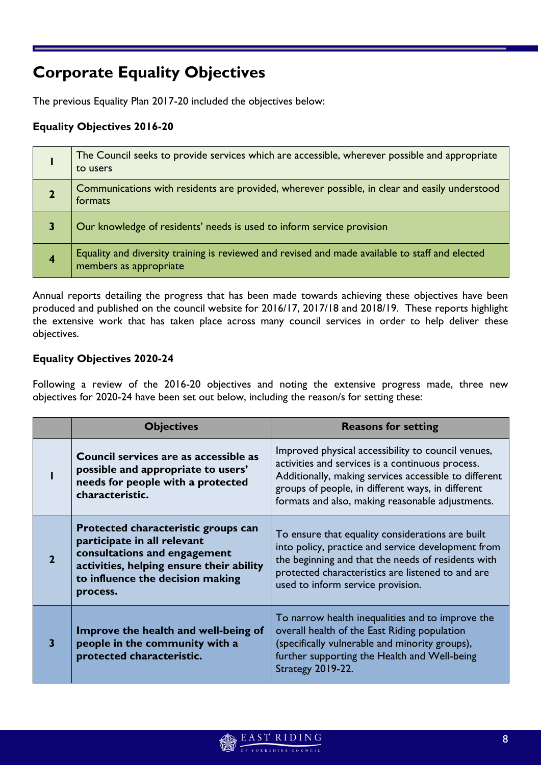# **Corporate Equality Objectives**

The previous Equality Plan 2017-20 included the objectives below:

## **Equality Objectives 2016-20**

|                | The Council seeks to provide services which are accessible, wherever possible and appropriate<br>to users                 |
|----------------|---------------------------------------------------------------------------------------------------------------------------|
|                | Communications with residents are provided, wherever possible, in clear and easily understood<br>formats                  |
|                | Our knowledge of residents' needs is used to inform service provision                                                     |
| $\overline{4}$ | Equality and diversity training is reviewed and revised and made available to staff and elected<br>members as appropriate |

Annual reports detailing the progress that has been made towards achieving these objectives have been produced and published on the council website for 2016/17, 2017/18 and 2018/19. These reports highlight the extensive work that has taken place across many council services in order to help deliver these objectives.

## **Equality Objectives 2020-24**

Following a review of the 2016-20 objectives and noting the extensive progress made, three new objectives for 2020-24 have been set out below, including the reason/s for setting these:

|                | <b>Objectives</b>                                                                                                                                                                              | <b>Reasons for setting</b>                                                                                                                                                                                                                                               |  |
|----------------|------------------------------------------------------------------------------------------------------------------------------------------------------------------------------------------------|--------------------------------------------------------------------------------------------------------------------------------------------------------------------------------------------------------------------------------------------------------------------------|--|
|                | Council services are as accessible as<br>possible and appropriate to users'<br>needs for people with a protected<br>characteristic.                                                            | Improved physical accessibility to council venues,<br>activities and services is a continuous process.<br>Additionally, making services accessible to different<br>groups of people, in different ways, in different<br>formats and also, making reasonable adjustments. |  |
| $\overline{2}$ | Protected characteristic groups can<br>participate in all relevant<br>consultations and engagement<br>activities, helping ensure their ability<br>to influence the decision making<br>process. | To ensure that equality considerations are built<br>into policy, practice and service development from<br>the beginning and that the needs of residents with<br>protected characteristics are listened to and are<br>used to inform service provision.                   |  |
| З              | Improve the health and well-being of<br>people in the community with a<br>protected characteristic.                                                                                            | To narrow health inequalities and to improve the<br>overall health of the East Riding population<br>(specifically vulnerable and minority groups),<br>further supporting the Health and Well-being<br><b>Strategy 2019-22.</b>                                           |  |

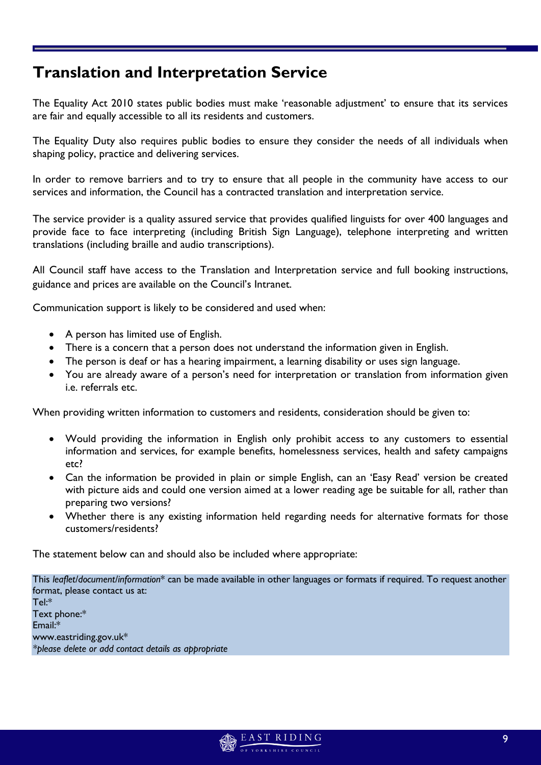# **Translation and Interpretation Service**

The Equality Act 2010 states public bodies must make 'reasonable adjustment' to ensure that its services are fair and equally accessible to all its residents and customers.

The Equality Duty also requires public bodies to ensure they consider the needs of all individuals when shaping policy, practice and delivering services.

In order to remove barriers and to try to ensure that all people in the community have access to our services and information, the Council has a contracted translation and interpretation service.

The service provider is a quality assured service that provides qualified linguists for over 400 languages and provide face to face interpreting (including British Sign Language), telephone interpreting and written translations (including braille and audio transcriptions).

All Council staff have access to the Translation and Interpretation service and full booking instructions, guidance and prices are available on the Council's Intranet.

Communication support is likely to be considered and used when:

- A person has limited use of English.
- There is a concern that a person does not understand the information given in English.
- The person is deaf or has a hearing impairment, a learning disability or uses sign language.
- You are already aware of a person's need for interpretation or translation from information given i.e. referrals etc.

When providing written information to customers and residents, consideration should be given to:

- Would providing the information in English only prohibit access to any customers to essential information and services, for example benefits, homelessness services, health and safety campaigns etc?
- Can the information be provided in plain or simple English, can an 'Easy Read' version be created with picture aids and could one version aimed at a lower reading age be suitable for all, rather than preparing two versions?
- Whether there is any existing information held regarding needs for alternative formats for those customers/residents?

The statement below can and should also be included where appropriate:

This *leaflet/document/information*\* can be made available in other languages or formats if required. To request another format, please contact us at: Tel:\* Text phone:\* Email:\* www.eastriding.gov.uk\* *\*please delete or add contact details as appropriate*

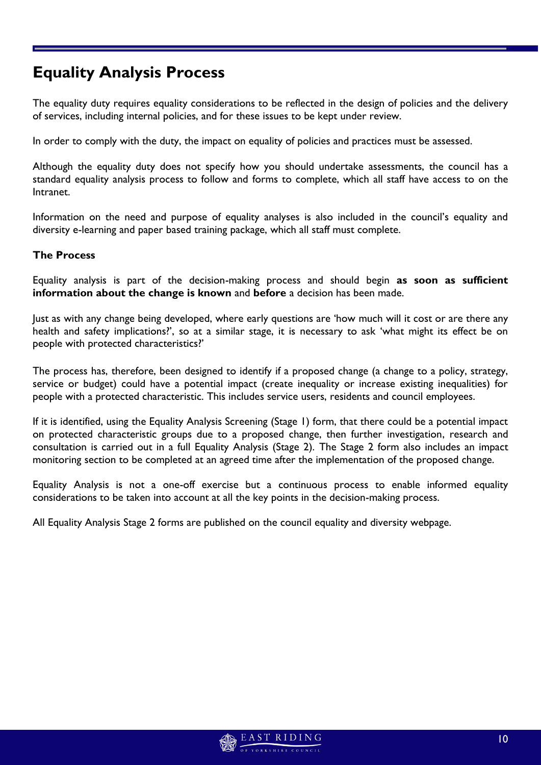# **Equality Analysis Process**

The equality duty requires equality considerations to be reflected in the design of policies and the delivery of services, including internal policies, and for these issues to be kept under review.

In order to comply with the duty, the impact on equality of policies and practices must be assessed.

Although the equality duty does not specify how you should undertake assessments, the council has a standard equality analysis process to follow and forms to complete, which all staff have access to on the Intranet.

Information on the need and purpose of equality analyses is also included in the council's equality and diversity e-learning and paper based training package, which all staff must complete.

### **The Process**

Equality analysis is part of the decision-making process and should begin **as soon as sufficient information about the change is known** and **before** a decision has been made.

Just as with any change being developed, where early questions are 'how much will it cost or are there any health and safety implications?', so at a similar stage, it is necessary to ask 'what might its effect be on people with protected characteristics?'

The process has, therefore, been designed to identify if a proposed change (a change to a policy, strategy, service or budget) could have a potential impact (create inequality or increase existing inequalities) for people with a protected characteristic. This includes service users, residents and council employees.

If it is identified, using the Equality Analysis Screening (Stage 1) form, that there could be a potential impact on protected characteristic groups due to a proposed change, then further investigation, research and consultation is carried out in a full Equality Analysis (Stage 2). The Stage 2 form also includes an impact monitoring section to be completed at an agreed time after the implementation of the proposed change.

Equality Analysis is not a one-off exercise but a continuous process to enable informed equality considerations to be taken into account at all the key points in the decision-making process.

All Equality Analysis Stage 2 forms are published on the council equality and diversity webpage.

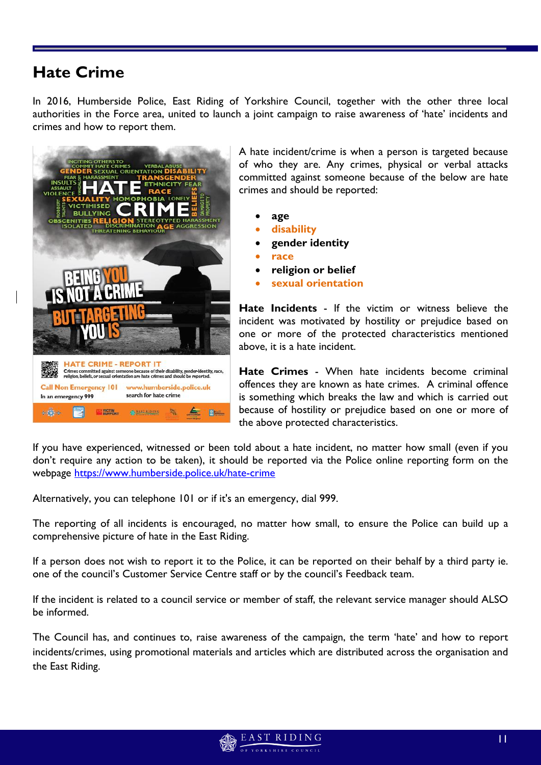# **Hate Crime**

In 2016, Humberside Police, East Riding of Yorkshire Council, together with the other three local authorities in the Force area, united to launch a joint campaign to raise awareness of 'hate' incidents and crimes and how to report them.



A hate incident/crime is when a person is targeted because of who they are. Any crimes, physical or verbal attacks committed against someone because of the below are hate crimes and should be reported:

- **age**
- **disability**
- **gender identity**
- **race**
- **religion or belief**
- **sexual orientation**

**Hate Incidents** - If the victim or witness believe the incident was motivated by hostility or prejudice based on one or more of the protected characteristics mentioned above, it is a hate incident.

**Hate Crimes** - When hate incidents become criminal offences they are known as hate crimes. A criminal offence is something which breaks the law and which is carried out because of hostility or prejudice based on one or more of the above protected characteristics.

If you have experienced, witnessed or been told about a hate incident, no matter how small (even if you don't require any action to be taken), it should be reported via the Police online reporting form on the webpage<https://www.humberside.police.uk/hate-crime>

Alternatively, you can telephone 101 or if it's an emergency, dial 999.

The reporting of all incidents is encouraged, no matter how small, to ensure the Police can build up a comprehensive picture of hate in the East Riding.

If a person does not wish to report it to the Police, it can be reported on their behalf by a third party ie. one of the council's Customer Service Centre staff or by the council's Feedback team.

If the incident is related to a council service or member of staff, the relevant service manager should ALSO be informed.

The Council has, and continues to, raise awareness of the campaign, the term 'hate' and how to report incidents/crimes, using promotional materials and articles which are distributed across the organisation and the East Riding.

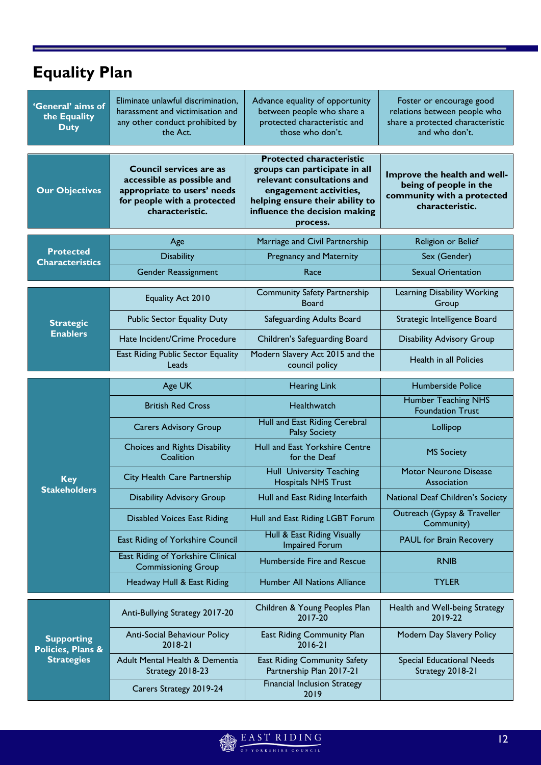# **Equality Plan**

| 'General' aims of<br>the Equality<br><b>Duty</b> | Eliminate unlawful discrimination,<br>harassment and victimisation and<br>any other conduct prohibited by<br>the Act.                         | Advance equality of opportunity<br>between people who share a<br>protected characteristic and<br>those who don't.                                                                                        | Foster or encourage good<br>relations between people who<br>share a protected characteristic<br>and who don't. |
|--------------------------------------------------|-----------------------------------------------------------------------------------------------------------------------------------------------|----------------------------------------------------------------------------------------------------------------------------------------------------------------------------------------------------------|----------------------------------------------------------------------------------------------------------------|
| <b>Our Objectives</b>                            | <b>Council services are as</b><br>accessible as possible and<br>appropriate to users' needs<br>for people with a protected<br>characteristic. | <b>Protected characteristic</b><br>groups can participate in all<br>relevant consultations and<br>engagement activities,<br>helping ensure their ability to<br>influence the decision making<br>process. | Improve the health and well-<br>being of people in the<br>community with a protected<br>characteristic.        |
|                                                  | Age                                                                                                                                           | Marriage and Civil Partnership                                                                                                                                                                           | Religion or Belief                                                                                             |
| <b>Protected</b><br><b>Characteristics</b>       | <b>Disability</b>                                                                                                                             | <b>Pregnancy and Maternity</b>                                                                                                                                                                           | Sex (Gender)                                                                                                   |
|                                                  | Gender Reassignment                                                                                                                           | Race                                                                                                                                                                                                     | <b>Sexual Orientation</b>                                                                                      |
|                                                  | <b>Equality Act 2010</b>                                                                                                                      | <b>Community Safety Partnership</b><br><b>Board</b>                                                                                                                                                      | Learning Disability Working<br>Group                                                                           |
| <b>Strategic</b>                                 | <b>Public Sector Equality Duty</b>                                                                                                            | Safeguarding Adults Board                                                                                                                                                                                | Strategic Intelligence Board                                                                                   |
| <b>Enablers</b>                                  | Hate Incident/Crime Procedure                                                                                                                 | Children's Safeguarding Board                                                                                                                                                                            | <b>Disability Advisory Group</b>                                                                               |
|                                                  | East Riding Public Sector Equality<br>Leads                                                                                                   | Modern Slavery Act 2015 and the<br>council policy                                                                                                                                                        | Health in all Policies                                                                                         |
|                                                  | Age UK                                                                                                                                        | <b>Hearing Link</b>                                                                                                                                                                                      | <b>Humberside Police</b>                                                                                       |
|                                                  | <b>British Red Cross</b>                                                                                                                      | Healthwatch                                                                                                                                                                                              | <b>Humber Teaching NHS</b><br><b>Foundation Trust</b>                                                          |
|                                                  | <b>Carers Advisory Group</b>                                                                                                                  | Hull and East Riding Cerebral<br><b>Palsy Society</b>                                                                                                                                                    | Lollipop                                                                                                       |
|                                                  | <b>Choices and Rights Disability</b><br>Coalition                                                                                             | Hull and East Yorkshire Centre<br>for the Deaf                                                                                                                                                           | <b>MS Society</b>                                                                                              |
| <b>Key</b><br><b>Stakeholders</b>                | City Health Care Partnership                                                                                                                  | <b>Hull University Teaching</b><br><b>Hospitals NHS Trust</b>                                                                                                                                            | <b>Motor Neurone Disease</b><br>Association                                                                    |
|                                                  | <b>Disability Advisory Group</b>                                                                                                              | Hull and East Riding Interfaith                                                                                                                                                                          | National Deaf Children's Society                                                                               |
|                                                  | <b>Disabled Voices East Riding</b>                                                                                                            | Hull and East Riding LGBT Forum                                                                                                                                                                          | Outreach (Gypsy & Traveller<br>Community)                                                                      |
|                                                  | East Riding of Yorkshire Council                                                                                                              | Hull & East Riding Visually<br><b>Impaired Forum</b>                                                                                                                                                     | <b>PAUL for Brain Recovery</b>                                                                                 |
|                                                  | East Riding of Yorkshire Clinical<br><b>Commissioning Group</b>                                                                               | Humberside Fire and Rescue                                                                                                                                                                               | <b>RNIB</b>                                                                                                    |
|                                                  | Headway Hull & East Riding                                                                                                                    | <b>Humber All Nations Alliance</b>                                                                                                                                                                       | <b>TYLER</b>                                                                                                   |
|                                                  | Anti-Bullying Strategy 2017-20                                                                                                                | Children & Young Peoples Plan<br>2017-20                                                                                                                                                                 | Health and Well-being Strategy<br>2019-22                                                                      |
| <b>Supporting</b><br>Policies, Plans &           | Anti-Social Behaviour Policy<br>2018-21                                                                                                       | East Riding Community Plan<br>$2016 - 21$                                                                                                                                                                | Modern Day Slavery Policy                                                                                      |
| <b>Strategies</b>                                | Adult Mental Health & Dementia<br>Strategy 2018-23                                                                                            | <b>East Riding Community Safety</b><br>Partnership Plan 2017-21                                                                                                                                          | <b>Special Educational Needs</b><br>Strategy 2018-21                                                           |
|                                                  | Carers Strategy 2019-24                                                                                                                       | <b>Financial Inclusion Strategy</b><br>2019                                                                                                                                                              |                                                                                                                |